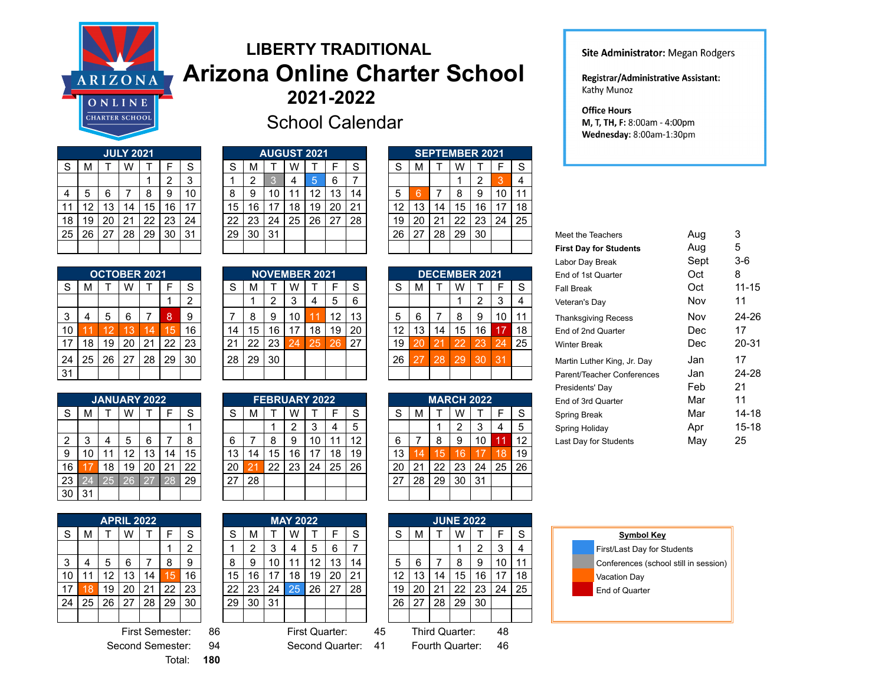

## **LIBERTY TRADITIONAL Arizona Online Charter School 2021-2022**



|                | <b>JULY 2021</b> |    |    |    |    |    |  |  |  |  |  |  |  |  |  |
|----------------|------------------|----|----|----|----|----|--|--|--|--|--|--|--|--|--|
| S              | м                | Т  | W  | Τ  | F  | S  |  |  |  |  |  |  |  |  |  |
|                |                  |    |    |    | 2  | 3  |  |  |  |  |  |  |  |  |  |
| $\overline{4}$ | 5                | 6  |    | 8  | 9  | 10 |  |  |  |  |  |  |  |  |  |
| 11             | 12               | 13 | 14 | 15 | 16 | 17 |  |  |  |  |  |  |  |  |  |
| 18             | 19               | 20 | 21 | 22 | 23 | 24 |  |  |  |  |  |  |  |  |  |
| 25             | 26               | 27 | 28 | 29 | 30 | 31 |  |  |  |  |  |  |  |  |  |
|                |                  |    |    |    |    |    |  |  |  |  |  |  |  |  |  |

|                 | <b>OCTOBER 2021</b> |    |    |    |    |                |  |  |  |  |  |  |  |  |  |
|-----------------|---------------------|----|----|----|----|----------------|--|--|--|--|--|--|--|--|--|
| S               | м                   |    | W  |    | F  | S              |  |  |  |  |  |  |  |  |  |
|                 |                     |    |    |    |    | $\overline{2}$ |  |  |  |  |  |  |  |  |  |
| 3               | 4                   | 5  | 6  | 7  | 8  | 9              |  |  |  |  |  |  |  |  |  |
| 10              | и                   | 12 | 13 | 14 | 15 | 16             |  |  |  |  |  |  |  |  |  |
| 17              | 18                  | 19 | 20 | 21 | 22 | 23             |  |  |  |  |  |  |  |  |  |
| 24              | 25                  | 26 | 27 | 28 | 29 | 30             |  |  |  |  |  |  |  |  |  |
| $\overline{31}$ |                     |    |    |    |    |                |  |  |  |  |  |  |  |  |  |

|                |    |    | <b>JANUARY 2022</b> |    |    |    |
|----------------|----|----|---------------------|----|----|----|
| S              | м  |    | W                   |    | F  | S  |
|                |    |    |                     |    |    |    |
| $\overline{2}$ | 3  | 4  | 5                   | 6  |    | 8  |
| 9              | 10 | 11 | 12                  | 13 | 14 | 15 |
| 16             | 17 | 18 | 19                  | 20 | 21 | 22 |
| 23             | 24 | 25 | 26                  | 27 | 28 | 29 |
| 30             | 31 |    |                     |    |    |    |

|    |    |    | <b>APRIL 2022</b> |    |    |                |
|----|----|----|-------------------|----|----|----------------|
| S  | М  | Τ  | W                 | т  | F  | S              |
|    |    |    |                   |    |    | $\overline{2}$ |
| 3  | 4  | 5  | 6                 |    | 8  | 9              |
| 10 | 11 | 12 | 13                | 14 | 15 | 16             |
| 17 | 18 | 19 | 20                | 21 | 22 | 23             |
| 24 | 25 | 26 | 27                | 28 | 29 | 30             |
|    |    |    |                   |    |    |                |

Second Semester: 94 Second Quarter: 41 Fourth Quarter: 46 Total: **180**

School Calendar

|    |    |    | <b>JULY 2021</b> |    |    |    |    |    | <b>AUGUST 2021</b> |    |    |    |        |    |    |    | <b>SEPTEMBER 2021</b> |    |        |    |
|----|----|----|------------------|----|----|----|----|----|--------------------|----|----|----|--------|----|----|----|-----------------------|----|--------|----|
| S  | М  |    | W                |    |    | S  | ິ  | м  |                    | W  |    |    | ິ<br>o | S  | м  |    | W                     |    |        | S  |
|    |    |    |                  |    |    | 3  |    | ົ  |                    |    | 5  | 6  |        |    |    |    |                       |    | 0<br>ю |    |
| 4  | 5  | 6  |                  | 8  | 9  | 10 | 8  | 9  | 10                 |    | 12 | Ι3 | 14     | 5  |    |    | 8                     |    | 10     | 11 |
| 11 | 12 | ١3 | 14               | 15 | 16 | 17 | 15 | 16 | 7                  | 18 | 19 | 20 | 21     | 12 | 13 | 14 | 15                    | 6  | 17     | 18 |
| 18 | 19 | 20 | 21               | 22 | 23 | 24 | 22 | 23 | 24                 | 25 | 26 | 27 | 28     | 19 | 20 | 21 | 22                    | 23 | 24     | 25 |
| 25 | 26 | 27 | 28               | 29 | 30 | 31 | 29 | 30 | 31                 |    |    |    |        | 26 | 27 | 28 | 29                    | 30 |        |    |
|    |    |    |                  |    |    |    |    |    |                    |    |    |    |        |    |    |    |                       |    |        |    |
|    |    |    |                  |    |    |    |    |    |                    |    |    |    |        |    |    |    |                       |    |        |    |

|    |    | <b>NOVEMBER 2021</b> |    |    |    |    |
|----|----|----------------------|----|----|----|----|
| S  | м  |                      |    |    | F  | S  |
|    |    | 2                    | 3  |    | 5  | 6  |
| 7  | 8  | 9                    | 10 |    | 12 | 13 |
| 14 | 15 | 16                   | 17 | 18 | 19 | 20 |
| 21 | 22 | 23                   | 24 | 25 | 26 | 27 |
| 28 | 29 | 30                   |    |    |    |    |
|    |    |                      |    |    |    |    |

|    |    |    | JANUARY 2022 |             |    |    |    |    |    |    | <b>FEBRUARY 2022</b> |    |        |                         |    |    | <b>MARCH 2022</b> |     |        |    |
|----|----|----|--------------|-------------|----|----|----|----|----|----|----------------------|----|--------|-------------------------|----|----|-------------------|-----|--------|----|
| S  | М  |    | W            |             |    | S  | ິ  | M  |    | W  |                      |    | ິ<br>o | $\mathbf{\hat{c}}$<br>v | м  |    | W                 |     |        | S  |
|    |    |    |              |             |    |    |    |    |    | ົ  | З                    | 4  | 5      |                         |    |    | n<br>∸            |     |        | 5  |
| 2  | ົ  | 4  | 5            | 6           |    | 8  | 6  |    | 8  | 9  | 10                   |    | 12     | 6                       |    | 8  | 9                 |     | и<br>и | 12 |
| 9  | 10 |    | 12           | Ι3          |    | 15 | 13 | 14 | 15 | 16 | -17                  | 18 | 19     | 13                      | 4  | 15 | 6                 |     | 18     | 19 |
| 16 |    | 18 | 19           | 20          | 21 | 22 | 20 | 2  | 22 | 23 | 24                   | 25 | 26     | 20                      | O1 | 22 | 23                | 24  | 25     | 26 |
| 23 | 24 | 25 | 26           | $\sqrt{27}$ | 28 | 29 | 27 | 28 |    |    |                      |    |        | 27                      | 28 | 29 | 30                | -31 |        |    |
| 30 | 31 |    |              |             |    |    |    |    |    |    |                      |    |        |                         |    |    |                   |     |        |    |

|                                                                     |    |    |    | APRIL 2022 |    |              |  |    |            |    | <b>MAY 2022</b> |    |               |    |             |                 |    |    | <b>JUNE 2022</b> |    |    |    |  |                              |
|---------------------------------------------------------------------|----|----|----|------------|----|--------------|--|----|------------|----|-----------------|----|---------------|----|-------------|-----------------|----|----|------------------|----|----|----|--|------------------------------|
| S                                                                   | м  |    | W  |            |    | <sub>S</sub> |  | S  | м          |    | W               |    |               | S  |             | S               | м  |    | W                |    |    | S  |  | <b>Symbol Key</b>            |
|                                                                     |    |    |    |            |    | ົ            |  |    | ົ          |    | 4               | 5  | 6             |    |             |                 |    |    |                  |    | J. | 4  |  | First/Last Day for Students  |
| 3                                                                   | 4  | 5  | 6  |            | 8  | 9            |  | 8  | 9          | 10 | 11              | 12 | 13            | 14 |             | 5               | 6  |    | 8                | 9  | 10 | 11 |  | Conferences (school still in |
| 10                                                                  | 11 | 12 | 13 | 14         | 15 | 16           |  | 15 | 16         | 17 | 18              | 19 | 20            | 21 |             | 12 <sup>°</sup> | 13 | 14 | 15               | 16 | 17 | 18 |  | Vacation Day                 |
| 17 L                                                                | 18 | 19 | 20 | 21         | 22 | 23           |  | 22 | 23         | 24 | 25              | 26 | 27            | 28 |             | 19              | 20 | 21 | 22               | 23 | 24 | 25 |  | End of Quarter               |
| 24                                                                  | 25 | 26 | 27 | 28         | 29 | 30           |  | 29 | 30         | 31 |                 |    |               |    |             | 26              | 27 | 28 | 29               | 30 |    |    |  |                              |
|                                                                     |    |    |    |            |    |              |  |    |            |    |                 |    |               |    |             |                 |    |    |                  |    |    |    |  |                              |
| $\Omega$<br>First Compation<br>$F_{\text{inst}}$ $O_{\text{total}}$ |    |    |    |            |    |              |  |    | $\Delta E$ |    |                 |    | Third Oughber |    | $\Lambda$ O |                 |    |    |                  |    |    |    |  |                              |

|    |    | <b>SEPTEMBER 2021</b> |    |    |    |    |
|----|----|-----------------------|----|----|----|----|
| S  | м  |                       | W  |    | F  | S  |
|    |    |                       |    | 2  | 3  |    |
| 5  | 6  |                       | 8  | 9  | 10 | 11 |
| 12 | 13 | 14                    | 15 | 16 | 17 | 18 |
| 19 | 20 | 21                    | 22 | 23 | 24 | 25 |
| 26 | 27 | 28                    | 29 | 30 |    |    |
|    |    |                       |    |    |    |    |

|    |    |    | <b>DECEMBER 2021</b> |    |    |    |
|----|----|----|----------------------|----|----|----|
| S  | м  | Т  | W                    |    | F  | S  |
|    |    |    |                      | 2  | 3  | 4  |
| 5  | 6  |    | 8                    | 9  | 10 | 11 |
| 12 | 13 | 14 | 15                   | 16 | 17 | 18 |
| 19 | 20 | 21 | 22                   | 23 | 24 | 25 |
| 26 | 27 | 28 | 29                   | 30 | 31 |    |
|    |    |    |                      |    |    |    |

|    |    |    | <b>MARCH 2022</b> |    |    |    |
|----|----|----|-------------------|----|----|----|
| S  | м  |    | W                 |    | F  | S  |
|    |    |    | 2                 | 3  | 4  | 5  |
| 6  |    | 8  | 9                 | 10 | 11 | 12 |
| 13 | 14 | 15 | 16                | 17 | 18 | 19 |
| 20 | 21 | 22 | 23                | 24 | 25 | 26 |
| 27 | 28 | 29 | 30                | 31 |    |    |
|    |    |    |                   |    |    |    |

| <b>RIL 2022</b> |                 |    |    |  |    |    |    | <b>MAY 2022</b> |    |    |    |  |    |    |                | <b>JUNE 2022</b> |    |    |    |
|-----------------|-----------------|----|----|--|----|----|----|-----------------|----|----|----|--|----|----|----------------|------------------|----|----|----|
| W               |                 |    | S  |  | S  | м  |    | W               |    |    | S  |  | S  | М  |                | W                |    |    | S  |
|                 |                 |    | ົ  |  |    | ົ  | 3  | 4               | 5  | 6  |    |  |    |    |                |                  | ⌒  | ຈ  | 4  |
| 6               |                 | 8  | 9  |  | 8  | 9  | 10 | 11              | 12 | Ι3 | 14 |  | 5  | 6  |                | 8                | 9  | 10 | 11 |
| 13              | 14              | 5  | 16 |  | 15 | 16 | 17 | 18              | 19 | 20 | 21 |  | 12 | 13 | 14             | 5                | 16 |    | 18 |
| 20              | 21              | 22 | 23 |  | 22 | 23 | 24 | 25              | 26 | 27 | 28 |  | 19 | 20 | 21             | 22               | 23 | 24 | 25 |
| 27              | 28              | 29 | 30 |  | 29 | 30 | 31 |                 |    |    |    |  | 26 | 27 | 28             | 29               | 30 |    |    |
|                 |                 |    |    |  |    |    |    |                 |    |    |    |  |    |    |                |                  |    |    |    |
|                 | First Semester: |    | 86 |  |    |    |    | First Quarter:  |    |    | 45 |  |    |    | Third Quarter: |                  | 48 |    |    |

## Site Administrator: Megan Rodgers

Registrar/Administrative Assistant: Kathy Munoz

**Office Hours** M, T, TH, F: 8:00am - 4:00pm Wednesday: 8:00am-1:30pm

| 25 I                | 26 | 27 | 28                  | 29 | 30 | 31 |  | 29 | 30 | -31            |                      |    |    |                 | 26              | 27    | 28 | 29                   | 30              |    |              | Meet the Teachers             | Aug        | 3         |
|---------------------|----|----|---------------------|----|----|----|--|----|----|----------------|----------------------|----|----|-----------------|-----------------|-------|----|----------------------|-----------------|----|--------------|-------------------------------|------------|-----------|
|                     |    |    |                     |    |    |    |  |    |    |                |                      |    |    |                 |                 |       |    |                      |                 |    |              | <b>First Day for Students</b> | Aug        | 5         |
|                     |    |    |                     |    |    |    |  |    |    |                |                      |    |    | Labor Day Break | Sept            | $3-6$ |    |                      |                 |    |              |                               |            |           |
| <b>OCTOBER 2021</b> |    |    |                     |    |    |    |  |    |    |                | <b>NOVEMBER 2021</b> |    |    |                 |                 |       |    | <b>DECEMBER 2021</b> |                 |    |              | End of 1st Quarter            | Oct        | 8         |
| S                   | м  |    | W                   |    |    | S  |  | S  | м  |                | W                    |    | F  | S               | S.              | M     |    | W                    |                 | F  | <sub>S</sub> | <b>Fall Break</b>             | Oct        | $11 - 15$ |
|                     |    |    |                     |    |    | 2  |  |    |    | $\overline{2}$ | 3                    | 4  | 5  | 6               |                 |       |    |                      | $\overline{2}$  | 3  | 4            | Veteran's Day                 | Nov        | 11        |
| 3                   | 4  | 5  | 6                   | 7  | 8  | 9  |  |    | 8  | 9              | 10                   |    | 12 | 13              | 5               | 6     |    | 8                    | 9               | 10 |              | <b>Thanksgiving Recess</b>    | <b>Nov</b> | 24-26     |
| 10                  |    | 12 | 13                  | 14 | 15 | 16 |  | 14 | 15 | 16             | 17                   | 18 | 19 | 20              | 12              | 13    | 14 | 15                   | 16 <sup>1</sup> | 17 | 18           | End of 2nd Quarter            | Dec.       | 17        |
| 17 <sub>1</sub>     | 18 | 19 | 20                  | 21 | 22 | 23 |  | 21 | 22 | 23             | 24                   | 25 | 26 | 27              | 19 <sup>1</sup> | 20    | 21 | 22                   | 23              | 24 | 25           | <b>Winter Break</b>           | Dec        | $20 - 31$ |
| 24                  | 25 | 26 | 27                  | 28 | 29 | 30 |  | 28 | 29 | 30             |                      |    |    |                 | 26              | 27    | 28 | 29                   | 30              | 31 |              | Martin Luther King, Jr. Day   | Jan        | 17        |
| 31                  |    |    |                     |    |    |    |  |    |    |                |                      |    |    |                 |                 |       |    |                      |                 |    |              | Parent/Teacher Conferences    | Jan        | 24-28     |
|                     |    |    |                     |    |    |    |  |    |    |                |                      |    |    |                 |                 |       |    |                      |                 |    |              | Presidents' Day               | Feb        | 21        |
|                     |    |    | <b>JANUARY 2022</b> |    |    |    |  |    |    |                | <b>FEBRUARY 2022</b> |    |    |                 |                 |       |    | <b>MARCH 2022</b>    |                 |    |              | End of 3rd Quarter            | Mar        | 11        |
| S                   | M  |    | W                   |    | F  | S. |  | S  | м  |                | W                    |    | F  | S               | S               | M     |    | W                    |                 |    | S            | Spring Break                  | Mar        | $14 - 18$ |
|                     |    |    |                     |    |    |    |  |    |    |                | 2                    | 3  | 4  | 5               |                 |       |    | $\overline{2}$       | 3               | 4  | 5            | Spring Holiday                | Apr        | $15 - 18$ |
| 2                   | 3  | 4  | 5                   | 6  | 7  | 8  |  | 6  |    | 8              | 9                    | 10 | 11 | 12              | 6               |       | 8  | 9                    | 10              |    | 12           | Last Day for Students         | May        | 25        |
|                     |    |    |                     |    |    |    |  |    |    |                |                      |    |    |                 |                 |       |    |                      |                 |    |              |                               |            |           |

| .      |         |                              |    |                   |    |    |                        |    |    |   |    |                   |        |  |    |      |    |    |          |               |        |  |                                       |
|--------|---------|------------------------------|----|-------------------|----|----|------------------------|----|----|---|----|-------------------|--------|--|----|------|----|----|----------|---------------|--------|--|---------------------------------------|
| ⌒<br>◡ | ΙVΙ     |                              | W  |                   |    |    | $\mathbf{\Gamma}$<br>◡ | м  |    | W |    |                   | c<br>ٮ |  |    | м    |    | W  |          |               | $\sim$ |  | <b>Symbol Key</b>                     |
|        |         |                              |    |                   |    |    |                        |    | ╭  |   |    | <b>~</b>          |        |  |    |      |    |    | <u>.</u> | ົ             |        |  | First/Last Day for Students           |
|        |         |                              |    |                   |    |    |                        |    |    |   | 12 | $\sqrt{2}$<br>ט ו | 14     |  |    |      |    |    |          | 10<br>שו      |        |  | Conferences (school still in session) |
| 0      |         | $\overline{A}$<br>$\epsilon$ | 13 |                   |    | 16 | 15                     | 16 |    |   | 19 | 20                | 21     |  | ▵  |      | 14 | 15 | 16       | $\rightarrow$ | 18     |  | Vacation Day                          |
|        |         | 19                           | 20 | $\mathbf{A}$<br>∠ | ററ | 23 | 22                     | 23 | 24 |   | 26 | ^7                | 28     |  | 19 | 20   |    | 22 | 23       | 24            | 25     |  | End of Quarter                        |
|        | 24   25 | 26.                          | 27 | 28                | 29 | 30 | 29                     | 30 | 24 |   |    |                   |        |  | 26 | - 27 | 28 | 29 | -30      |               |        |  |                                       |